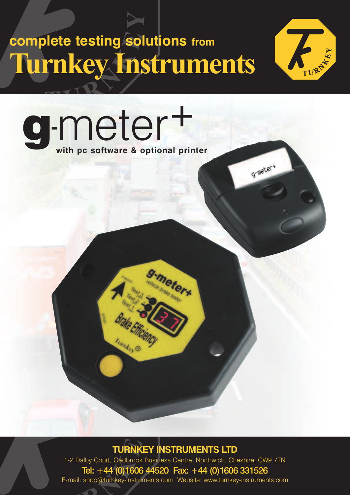## **complete testing solutions from Turnkey Instruments**



g-meter+

**g**-meter<sup>+</sup> **with pc software & optional printer**

I un Mex

**TURNKEY INSTRUMENTS LTD**

neterx

1-2 Dalby Court, Gadbrook Business Centre, Northwich, Cheshire. CW9 7TN Tel: +44 (0)1606 44520 Fax: +44 (0)1606 331526 E-mail: shop@turnkey-instruments.com Website: www.turnkey-instruments.com